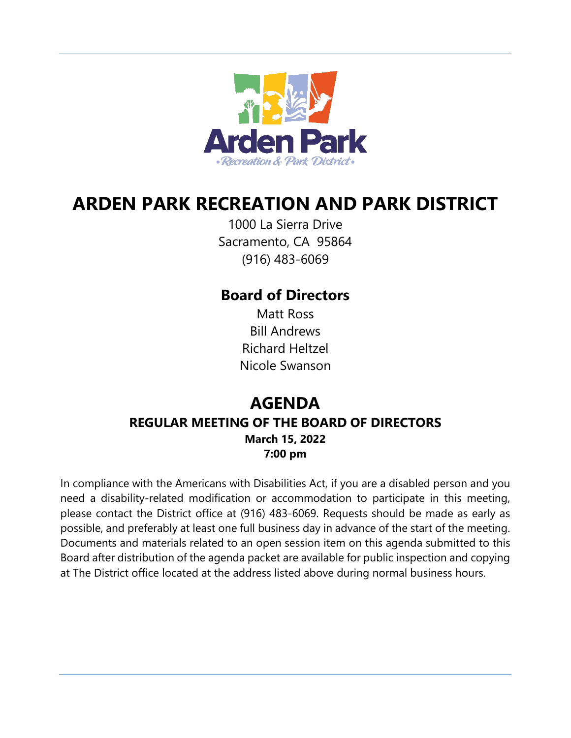

# **ARDEN PARK RECREATION AND PARK DISTRICT**

1000 La Sierra Drive Sacramento, CA 95864 (916) 483-6069

# **Board of Directors**

Matt Ross Bill Andrews Richard Heltzel Nicole Swanson

# **AGENDA REGULAR MEETING OF THE BOARD OF DIRECTORS March 15, 2022 7:00 pm**

In compliance with the Americans with Disabilities Act, if you are a disabled person and you need a disability-related modification or accommodation to participate in this meeting, please contact the District office at (916) 483-6069. Requests should be made as early as possible, and preferably at least one full business day in advance of the start of the meeting. Documents and materials related to an open session item on this agenda submitted to this Board after distribution of the agenda packet are available for public inspection and copying at The District office located at the address listed above during normal business hours.